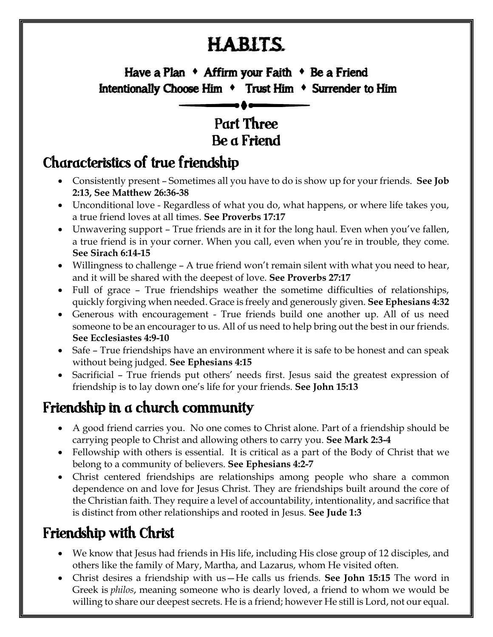# H.A.B.I.T.S.

# X Have a Plan  $\rightarrow$  Affirm your Faith  $\rightarrow$  Be a Friend Intentionally Choose Him  $\arrow$  Trust Him  $\rightarrow$  Surrender to Him

#### ľ Part Three Be a Friend

#### Characteristics of true friendship

- Consistently present Sometimes all you have to do is show up for your friends. **See Job 2:13, See Matthew 26:36-38**
- Unconditional love Regardless of what you do, what happens, or where life takes you, a true friend loves at all times. **See Proverbs 17:17**
- Unwavering support True friends are in it for the long haul. Even when you've fallen, a true friend is in your corner. When you call, even when you're in trouble, they come. **See Sirach 6:14-15**
- Willingness to challenge A true friend won't remain silent with what you need to hear, and it will be shared with the deepest of love. **See Proverbs 27:17**
- Full of grace True friendships weather the sometime difficulties of relationships, quickly forgiving when needed. Grace is freely and generously given. **See Ephesians 4:32**
- Generous with encouragement True friends build one another up. All of us need someone to be an encourager to us. All of us need to help bring out the best in our friends. **See Ecclesiastes 4:9-10**
- Safe True friendships have an environment where it is safe to be honest and can speak without being judged. **See Ephesians 4:15**
- Sacrificial True friends put others' needs first. Jesus said the greatest expression of friendship is to lay down one's life for your friends. **See John 15:13**

#### Friendship in a church community

- A good friend carries you. No one comes to Christ alone. Part of a friendship should be carrying people to Christ and allowing others to carry you. **See Mark 2:3-4**
- Fellowship with others is essential. It is critical as a part of the Body of Christ that we belong to a community of believers. **See Ephesians 4:2-7**
- Christ centered friendships are relationships among people who share a common dependence on and love for Jesus Christ. They are friendships built around the core of the Christian faith. They require a level of accountability, intentionality, and sacrifice that is distinct from other relationships and rooted in Jesus. **See Jude 1:3**

## Friendship with Christ

- We know that Jesus had friends in His life, including His close group of 12 disciples, and others like the family of Mary, Martha, and Lazarus, whom He visited often.
- Christ desires a friendship with us—He calls us friends. **See John 15:15** The word in Greek is *philos*, meaning someone who is dearly loved, a friend to whom we would be willing to share our deepest secrets. He is a friend; however He still is Lord, not our equal.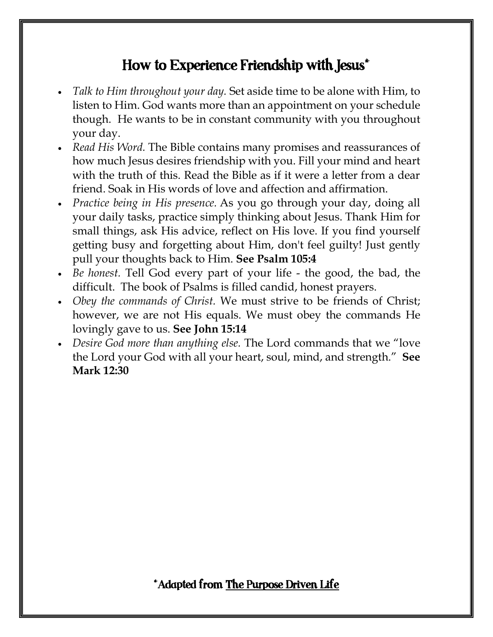#### How to Experience Friendship with Jesus\*

- *Talk to Him throughout your day.* Set aside time to be alone with Him, to listen to Him. God wants more than an appointment on your schedule though. He wants to be in constant community with you throughout your day.
- *Read His Word.* The Bible contains many promises and reassurances of how much Jesus desires friendship with you. Fill your mind and heart with the truth of this. Read the Bible as if it were a letter from a dear friend. Soak in His words of love and affection and affirmation.
- *Practice being in His presence.* As you go through your day, doing all your daily tasks, practice simply thinking about Jesus. Thank Him for small things, ask His advice, reflect on His love. If you find yourself getting busy and forgetting about Him, don't feel guilty! Just gently pull your thoughts back to Him. **See Psalm 105:4**
- *Be honest.* Tell God every part of your life the good, the bad, the difficult. The book of Psalms is filled candid, honest prayers.
- *Obey the commands of Christ.* We must strive to be friends of Christ; however, we are not His equals. We must obey the commands He lovingly gave to us. **See John 15:14**
- *Desire God more than anything else.* The Lord commands that we "love the Lord your God with all your heart, soul, mind, and strength." **See Mark 12:30**

\*Adapted from The Purpose Driven Life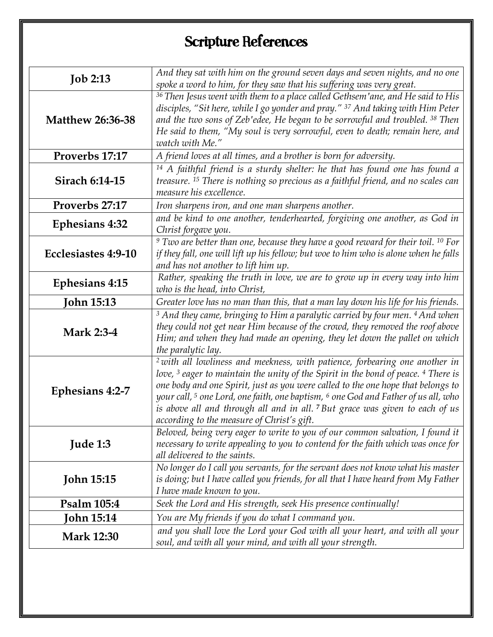# Scripture References

| And they sat with him on the ground seven days and seven nights, and no one<br><b>Job 2:13</b><br>spoke a word to him, for they saw that his suffering was very great.<br><sup>36</sup> Then Jesus went with them to a place called Gethsem'ane, and He said to His<br>disciples, "Sit here, while I go yonder and pray." <sup>37</sup> And taking with Him Peter<br><b>Matthew 26:36-38</b><br>and the two sons of Zeb'edee, He began to be sorrowful and troubled. <sup>38</sup> Then<br>He said to them, "My soul is very sorrowful, even to death; remain here, and<br>watch with Me."<br>Proverbs 17:17<br>A friend loves at all times, and a brother is born for adversity.<br>$14$ A faithful friend is a sturdy shelter: he that has found one has found a<br><b>Sirach 6:14-15</b><br>treasure. <sup>15</sup> There is nothing so precious as a faithful friend, and no scales can<br>measure his excellence.<br>Proverbs 27:17<br>Iron sharpens iron, and one man sharpens another.<br>and be kind to one another, tenderhearted, forgiving one another, as God in<br><b>Ephesians 4:32</b><br>Christ forgave you.<br>$9$ Two are better than one, because they have a good reward for their toil. $10$ For<br><b>Ecclesiastes 4:9-10</b><br>if they fall, one will lift up his fellow; but woe to him who is alone when he falls<br>and has not another to lift him up.<br>Rather, speaking the truth in love, we are to grow up in every way into him<br><b>Ephesians 4:15</b><br>who is the head, into Christ,<br><b>John 15:13</b><br>Greater love has no man than this, that a man lay down his life for his friends.<br><sup>3</sup> And they came, bringing to Him a paralytic carried by four men. <sup>4</sup> And when<br>they could not get near Him because of the crowd, they removed the roof above<br><b>Mark 2:3-4</b><br>Him; and when they had made an opening, they let down the pallet on which<br>the paralytic lay. |
|-----------------------------------------------------------------------------------------------------------------------------------------------------------------------------------------------------------------------------------------------------------------------------------------------------------------------------------------------------------------------------------------------------------------------------------------------------------------------------------------------------------------------------------------------------------------------------------------------------------------------------------------------------------------------------------------------------------------------------------------------------------------------------------------------------------------------------------------------------------------------------------------------------------------------------------------------------------------------------------------------------------------------------------------------------------------------------------------------------------------------------------------------------------------------------------------------------------------------------------------------------------------------------------------------------------------------------------------------------------------------------------------------------------------------------------------------------------------------------------------------------------------------------------------------------------------------------------------------------------------------------------------------------------------------------------------------------------------------------------------------------------------------------------------------------------------------------------------------------------------------------------------------------------------------------------------------------|
|                                                                                                                                                                                                                                                                                                                                                                                                                                                                                                                                                                                                                                                                                                                                                                                                                                                                                                                                                                                                                                                                                                                                                                                                                                                                                                                                                                                                                                                                                                                                                                                                                                                                                                                                                                                                                                                                                                                                                     |
|                                                                                                                                                                                                                                                                                                                                                                                                                                                                                                                                                                                                                                                                                                                                                                                                                                                                                                                                                                                                                                                                                                                                                                                                                                                                                                                                                                                                                                                                                                                                                                                                                                                                                                                                                                                                                                                                                                                                                     |
|                                                                                                                                                                                                                                                                                                                                                                                                                                                                                                                                                                                                                                                                                                                                                                                                                                                                                                                                                                                                                                                                                                                                                                                                                                                                                                                                                                                                                                                                                                                                                                                                                                                                                                                                                                                                                                                                                                                                                     |
|                                                                                                                                                                                                                                                                                                                                                                                                                                                                                                                                                                                                                                                                                                                                                                                                                                                                                                                                                                                                                                                                                                                                                                                                                                                                                                                                                                                                                                                                                                                                                                                                                                                                                                                                                                                                                                                                                                                                                     |
|                                                                                                                                                                                                                                                                                                                                                                                                                                                                                                                                                                                                                                                                                                                                                                                                                                                                                                                                                                                                                                                                                                                                                                                                                                                                                                                                                                                                                                                                                                                                                                                                                                                                                                                                                                                                                                                                                                                                                     |
|                                                                                                                                                                                                                                                                                                                                                                                                                                                                                                                                                                                                                                                                                                                                                                                                                                                                                                                                                                                                                                                                                                                                                                                                                                                                                                                                                                                                                                                                                                                                                                                                                                                                                                                                                                                                                                                                                                                                                     |
|                                                                                                                                                                                                                                                                                                                                                                                                                                                                                                                                                                                                                                                                                                                                                                                                                                                                                                                                                                                                                                                                                                                                                                                                                                                                                                                                                                                                                                                                                                                                                                                                                                                                                                                                                                                                                                                                                                                                                     |
|                                                                                                                                                                                                                                                                                                                                                                                                                                                                                                                                                                                                                                                                                                                                                                                                                                                                                                                                                                                                                                                                                                                                                                                                                                                                                                                                                                                                                                                                                                                                                                                                                                                                                                                                                                                                                                                                                                                                                     |
|                                                                                                                                                                                                                                                                                                                                                                                                                                                                                                                                                                                                                                                                                                                                                                                                                                                                                                                                                                                                                                                                                                                                                                                                                                                                                                                                                                                                                                                                                                                                                                                                                                                                                                                                                                                                                                                                                                                                                     |
|                                                                                                                                                                                                                                                                                                                                                                                                                                                                                                                                                                                                                                                                                                                                                                                                                                                                                                                                                                                                                                                                                                                                                                                                                                                                                                                                                                                                                                                                                                                                                                                                                                                                                                                                                                                                                                                                                                                                                     |
|                                                                                                                                                                                                                                                                                                                                                                                                                                                                                                                                                                                                                                                                                                                                                                                                                                                                                                                                                                                                                                                                                                                                                                                                                                                                                                                                                                                                                                                                                                                                                                                                                                                                                                                                                                                                                                                                                                                                                     |
|                                                                                                                                                                                                                                                                                                                                                                                                                                                                                                                                                                                                                                                                                                                                                                                                                                                                                                                                                                                                                                                                                                                                                                                                                                                                                                                                                                                                                                                                                                                                                                                                                                                                                                                                                                                                                                                                                                                                                     |
|                                                                                                                                                                                                                                                                                                                                                                                                                                                                                                                                                                                                                                                                                                                                                                                                                                                                                                                                                                                                                                                                                                                                                                                                                                                                                                                                                                                                                                                                                                                                                                                                                                                                                                                                                                                                                                                                                                                                                     |
|                                                                                                                                                                                                                                                                                                                                                                                                                                                                                                                                                                                                                                                                                                                                                                                                                                                                                                                                                                                                                                                                                                                                                                                                                                                                                                                                                                                                                                                                                                                                                                                                                                                                                                                                                                                                                                                                                                                                                     |
|                                                                                                                                                                                                                                                                                                                                                                                                                                                                                                                                                                                                                                                                                                                                                                                                                                                                                                                                                                                                                                                                                                                                                                                                                                                                                                                                                                                                                                                                                                                                                                                                                                                                                                                                                                                                                                                                                                                                                     |
|                                                                                                                                                                                                                                                                                                                                                                                                                                                                                                                                                                                                                                                                                                                                                                                                                                                                                                                                                                                                                                                                                                                                                                                                                                                                                                                                                                                                                                                                                                                                                                                                                                                                                                                                                                                                                                                                                                                                                     |
|                                                                                                                                                                                                                                                                                                                                                                                                                                                                                                                                                                                                                                                                                                                                                                                                                                                                                                                                                                                                                                                                                                                                                                                                                                                                                                                                                                                                                                                                                                                                                                                                                                                                                                                                                                                                                                                                                                                                                     |
|                                                                                                                                                                                                                                                                                                                                                                                                                                                                                                                                                                                                                                                                                                                                                                                                                                                                                                                                                                                                                                                                                                                                                                                                                                                                                                                                                                                                                                                                                                                                                                                                                                                                                                                                                                                                                                                                                                                                                     |
|                                                                                                                                                                                                                                                                                                                                                                                                                                                                                                                                                                                                                                                                                                                                                                                                                                                                                                                                                                                                                                                                                                                                                                                                                                                                                                                                                                                                                                                                                                                                                                                                                                                                                                                                                                                                                                                                                                                                                     |
|                                                                                                                                                                                                                                                                                                                                                                                                                                                                                                                                                                                                                                                                                                                                                                                                                                                                                                                                                                                                                                                                                                                                                                                                                                                                                                                                                                                                                                                                                                                                                                                                                                                                                                                                                                                                                                                                                                                                                     |
|                                                                                                                                                                                                                                                                                                                                                                                                                                                                                                                                                                                                                                                                                                                                                                                                                                                                                                                                                                                                                                                                                                                                                                                                                                                                                                                                                                                                                                                                                                                                                                                                                                                                                                                                                                                                                                                                                                                                                     |
|                                                                                                                                                                                                                                                                                                                                                                                                                                                                                                                                                                                                                                                                                                                                                                                                                                                                                                                                                                                                                                                                                                                                                                                                                                                                                                                                                                                                                                                                                                                                                                                                                                                                                                                                                                                                                                                                                                                                                     |
|                                                                                                                                                                                                                                                                                                                                                                                                                                                                                                                                                                                                                                                                                                                                                                                                                                                                                                                                                                                                                                                                                                                                                                                                                                                                                                                                                                                                                                                                                                                                                                                                                                                                                                                                                                                                                                                                                                                                                     |
|                                                                                                                                                                                                                                                                                                                                                                                                                                                                                                                                                                                                                                                                                                                                                                                                                                                                                                                                                                                                                                                                                                                                                                                                                                                                                                                                                                                                                                                                                                                                                                                                                                                                                                                                                                                                                                                                                                                                                     |
| <sup>2</sup> with all lowliness and meekness, with patience, forbearing one another in                                                                                                                                                                                                                                                                                                                                                                                                                                                                                                                                                                                                                                                                                                                                                                                                                                                                                                                                                                                                                                                                                                                                                                                                                                                                                                                                                                                                                                                                                                                                                                                                                                                                                                                                                                                                                                                              |
| love, <sup>3</sup> eager to maintain the unity of the Spirit in the bond of peace. <sup>4</sup> There is                                                                                                                                                                                                                                                                                                                                                                                                                                                                                                                                                                                                                                                                                                                                                                                                                                                                                                                                                                                                                                                                                                                                                                                                                                                                                                                                                                                                                                                                                                                                                                                                                                                                                                                                                                                                                                            |
| one body and one Spirit, just as you were called to the one hope that belongs to<br>Ephesians 4:2-7                                                                                                                                                                                                                                                                                                                                                                                                                                                                                                                                                                                                                                                                                                                                                                                                                                                                                                                                                                                                                                                                                                                                                                                                                                                                                                                                                                                                                                                                                                                                                                                                                                                                                                                                                                                                                                                 |
| your call, <sup>5</sup> one Lord, one faith, one baptism, <sup>6</sup> one God and Father of us all, who                                                                                                                                                                                                                                                                                                                                                                                                                                                                                                                                                                                                                                                                                                                                                                                                                                                                                                                                                                                                                                                                                                                                                                                                                                                                                                                                                                                                                                                                                                                                                                                                                                                                                                                                                                                                                                            |
| is above all and through all and in all. <sup>7</sup> But grace was given to each of us                                                                                                                                                                                                                                                                                                                                                                                                                                                                                                                                                                                                                                                                                                                                                                                                                                                                                                                                                                                                                                                                                                                                                                                                                                                                                                                                                                                                                                                                                                                                                                                                                                                                                                                                                                                                                                                             |
| according to the measure of Christ's gift.                                                                                                                                                                                                                                                                                                                                                                                                                                                                                                                                                                                                                                                                                                                                                                                                                                                                                                                                                                                                                                                                                                                                                                                                                                                                                                                                                                                                                                                                                                                                                                                                                                                                                                                                                                                                                                                                                                          |
| Beloved, being very eager to write to you of our common salvation, I found it                                                                                                                                                                                                                                                                                                                                                                                                                                                                                                                                                                                                                                                                                                                                                                                                                                                                                                                                                                                                                                                                                                                                                                                                                                                                                                                                                                                                                                                                                                                                                                                                                                                                                                                                                                                                                                                                       |
| Jude 1:3<br>necessary to write appealing to you to contend for the faith which was once for                                                                                                                                                                                                                                                                                                                                                                                                                                                                                                                                                                                                                                                                                                                                                                                                                                                                                                                                                                                                                                                                                                                                                                                                                                                                                                                                                                                                                                                                                                                                                                                                                                                                                                                                                                                                                                                         |
| all delivered to the saints.                                                                                                                                                                                                                                                                                                                                                                                                                                                                                                                                                                                                                                                                                                                                                                                                                                                                                                                                                                                                                                                                                                                                                                                                                                                                                                                                                                                                                                                                                                                                                                                                                                                                                                                                                                                                                                                                                                                        |
| No longer do I call you servants, for the servant does not know what his master                                                                                                                                                                                                                                                                                                                                                                                                                                                                                                                                                                                                                                                                                                                                                                                                                                                                                                                                                                                                                                                                                                                                                                                                                                                                                                                                                                                                                                                                                                                                                                                                                                                                                                                                                                                                                                                                     |
| <b>John 15:15</b><br>is doing; but I have called you friends, for all that I have heard from My Father                                                                                                                                                                                                                                                                                                                                                                                                                                                                                                                                                                                                                                                                                                                                                                                                                                                                                                                                                                                                                                                                                                                                                                                                                                                                                                                                                                                                                                                                                                                                                                                                                                                                                                                                                                                                                                              |
| I have made known to you.                                                                                                                                                                                                                                                                                                                                                                                                                                                                                                                                                                                                                                                                                                                                                                                                                                                                                                                                                                                                                                                                                                                                                                                                                                                                                                                                                                                                                                                                                                                                                                                                                                                                                                                                                                                                                                                                                                                           |
| Psalm 105:4<br>Seek the Lord and His strength, seek His presence continually!                                                                                                                                                                                                                                                                                                                                                                                                                                                                                                                                                                                                                                                                                                                                                                                                                                                                                                                                                                                                                                                                                                                                                                                                                                                                                                                                                                                                                                                                                                                                                                                                                                                                                                                                                                                                                                                                       |
| John 15:14<br>You are My friends if you do what I command you.                                                                                                                                                                                                                                                                                                                                                                                                                                                                                                                                                                                                                                                                                                                                                                                                                                                                                                                                                                                                                                                                                                                                                                                                                                                                                                                                                                                                                                                                                                                                                                                                                                                                                                                                                                                                                                                                                      |
| and you shall love the Lord your God with all your heart, and with all your<br><b>Mark 12:30</b>                                                                                                                                                                                                                                                                                                                                                                                                                                                                                                                                                                                                                                                                                                                                                                                                                                                                                                                                                                                                                                                                                                                                                                                                                                                                                                                                                                                                                                                                                                                                                                                                                                                                                                                                                                                                                                                    |
| soul, and with all your mind, and with all your strength.                                                                                                                                                                                                                                                                                                                                                                                                                                                                                                                                                                                                                                                                                                                                                                                                                                                                                                                                                                                                                                                                                                                                                                                                                                                                                                                                                                                                                                                                                                                                                                                                                                                                                                                                                                                                                                                                                           |